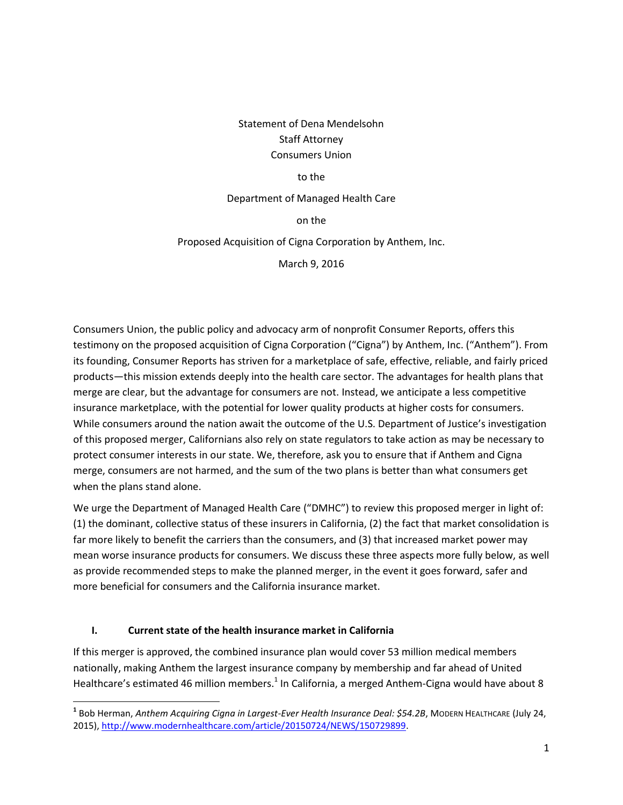# Statement of Dena Mendelsohn Staff Attorney Consumers Union

#### to the

#### Department of Managed Health Care

on the

#### Proposed Acquisition of Cigna Corporation by Anthem, Inc.

March 9, 2016

Consumers Union, the public policy and advocacy arm of nonprofit Consumer Reports, offers this testimony on the proposed acquisition of Cigna Corporation ("Cigna") by Anthem, Inc. ("Anthem"). From its founding, Consumer Reports has striven for a marketplace of safe, effective, reliable, and fairly priced products—this mission extends deeply into the health care sector. The advantages for health plans that merge are clear, but the advantage for consumers are not. Instead, we anticipate a less competitive insurance marketplace, with the potential for lower quality products at higher costs for consumers. While consumers around the nation await the outcome of the U.S. Department of Justice's investigation of this proposed merger, Californians also rely on state regulators to take action as may be necessary to protect consumer interests in our state. We, therefore, ask you to ensure that if Anthem and Cigna merge, consumers are not harmed, and the sum of the two plans is better than what consumers get when the plans stand alone.

We urge the Department of Managed Health Care ("DMHC") to review this proposed merger in light of: (1) the dominant, collective status of these insurers in California, (2) the fact that market consolidation is far more likely to benefit the carriers than the consumers, and (3) that increased market power may mean worse insurance products for consumers. We discuss these three aspects more fully below, as well as provide recommended steps to make the planned merger, in the event it goes forward, safer and more beneficial for consumers and the California insurance market.

#### **I. Current state of the health insurance market in California**

l

If this merger is approved, the combined insurance plan would cover 53 million medical members nationally, making Anthem the largest insurance company by membership and far ahead of United Healthcare's estimated 46 million members.<sup>1</sup> In California, a merged Anthem-Cigna would have about 8

**<sup>1</sup>** Bob Herman, *Anthem Acquiring Cigna in Largest-Ever Health Insurance Deal: \$54.2B*, MODERN HEALTHCARE (July 24, 2015), [http://www.modernhealthcare.com/article/20150724/NEWS/150729899.](http://www.modernhealthcare.com/article/20150724/NEWS/150729899)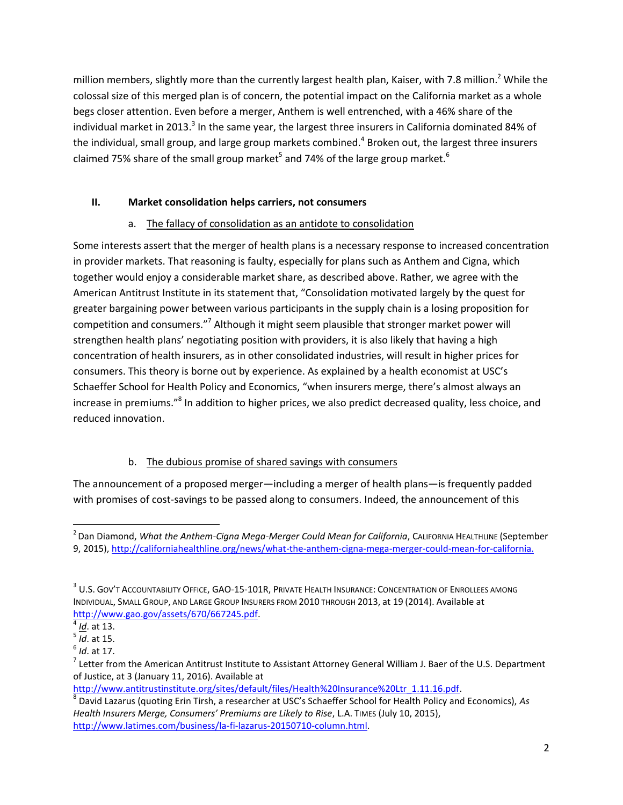million members, slightly more than the currently largest health plan, Kaiser, with 7.8 million.<sup>2</sup> While the colossal size of this merged plan is of concern, the potential impact on the California market as a whole begs closer attention. Even before a merger, Anthem is well entrenched, with a 46% share of the individual market in 2013.<sup>3</sup> In the same year, the largest three insurers in California dominated 84% of the individual, small group, and large group markets combined.<sup>4</sup> Broken out, the largest three insurers claimed 75% share of the small group market<sup>5</sup> and 74% of the large group market.<sup>6</sup>

## **II. Market consolidation helps carriers, not consumers**

## a. The fallacy of consolidation as an antidote to consolidation

Some interests assert that the merger of health plans is a necessary response to increased concentration in provider markets. That reasoning is faulty, especially for plans such as Anthem and Cigna, which together would enjoy a considerable market share, as described above. Rather, we agree with the American Antitrust Institute in its statement that, "Consolidation motivated largely by the quest for greater bargaining power between various participants in the supply chain is a losing proposition for competition and consumers."<sup>7</sup> Although it might seem plausible that stronger market power will strengthen health plans' negotiating position with providers, it is also likely that having a high concentration of health insurers, as in other consolidated industries, will result in higher prices for consumers. This theory is borne out by experience. As explained by a health economist at USC's Schaeffer School for Health Policy and Economics, "when insurers merge, there's almost always an increase in premiums."<sup>8</sup> In addition to higher prices, we also predict decreased quality, less choice, and reduced innovation.

## b. The dubious promise of shared savings with consumers

The announcement of a proposed merger—including a merger of health plans—is frequently padded with promises of cost-savings to be passed along to consumers. Indeed, the announcement of this

 $\overline{\phantom{a}}$ 

<sup>2</sup> Dan Diamond, *What the Anthem-Cigna Mega-Merger Could Mean for California*, CALIFORNIA HEALTHLINE (September 9, 2015),<http://californiahealthline.org/news/what-the-anthem-cigna-mega-merger-could-mean-for-california.>

 $^3$  U.S. Gov't Accountability Office, GAO-15-101R, Private Health Insurance: Concentration of Enrollees among INDIVIDUAL, SMALL GROUP, AND LARGE GROUP INSURERS FROM 2010 THROUGH 2013, at 19 (2014). Available at [http://www.gao.gov/assets/670/667245.pdf.](http://www.gao.gov/assets/670/667245.pdf)

<sup>4</sup> *[Id](file:///C:/Users/Mendde/Downloads/Id)*. at 13.

<sup>5</sup> *Id*. at 15.

<sup>6</sup> *Id*. at 17.

 $^7$  Letter from the American Antitrust Institute to Assistant Attorney General William J. Baer of the U.S. Department of Justice, at 3 (January 11, 2016). Available at

[http://www.antitrustinstitute.org/sites/default/files/Health%20Insurance%20Ltr\\_1.11.16.pdf.](http://www.antitrustinstitute.org/sites/default/files/Health%20Insurance%20Ltr_1.11.16.pdf)

<sup>8</sup> David Lazarus (quoting Erin Tirsh, a researcher at USC's Schaeffer School for Health Policy and Economics), *As Health Insurers Merge, Consumers' Premiums are Likely to Rise*, L.A. TIMES (July 10, 2015), [http://www.latimes.com/business/la-fi-lazarus-20150710-column.html.](http://www.latimes.com/business/la-fi-lazarus-20150710-column.html)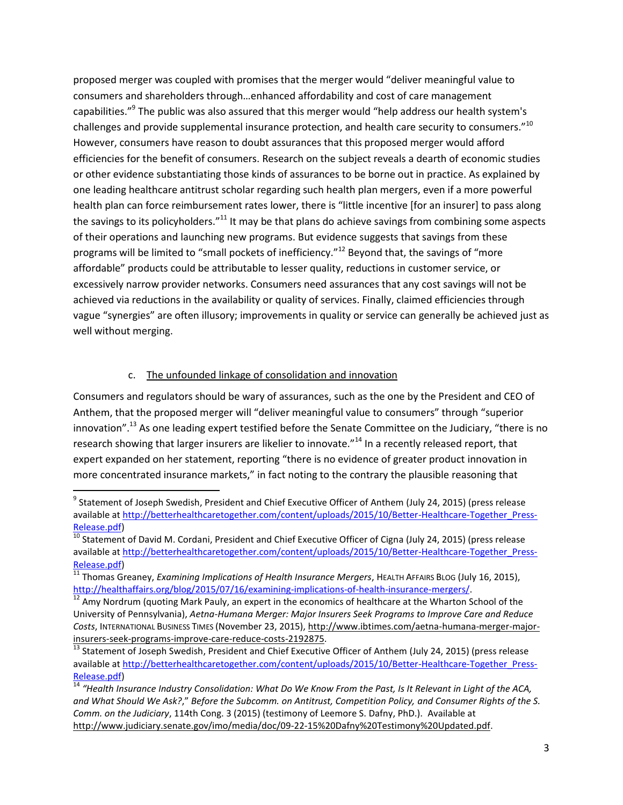proposed merger was coupled with promises that the merger would "deliver meaningful value to consumers and shareholders through…enhanced affordability and cost of care management capabilities."<sup>9</sup> The public was also assured that this merger would "help address our health system's challenges and provide supplemental insurance protection, and health care security to consumers."<sup>10</sup> However, consumers have reason to doubt assurances that this proposed merger would afford efficiencies for the benefit of consumers. Research on the subject reveals a dearth of economic studies or other evidence substantiating those kinds of assurances to be borne out in practice. As explained by one leading healthcare antitrust scholar regarding such health plan mergers, even if a more powerful health plan can force reimbursement rates lower, there is "little incentive [for an insurer] to pass along the savings to its policyholders."<sup>11</sup> It may be that plans do achieve savings from combining some aspects of their operations and launching new programs. But evidence suggests that savings from these programs will be limited to "small pockets of inefficiency."<sup>12</sup> Beyond that, the savings of "more affordable" products could be attributable to lesser quality, reductions in customer service, or excessively narrow provider networks. Consumers need assurances that any cost savings will not be achieved via reductions in the availability or quality of services. Finally, claimed efficiencies through vague "synergies" are often illusory; improvements in quality or service can generally be achieved just as well without merging.

#### c. The unfounded linkage of consolidation and innovation

Consumers and regulators should be wary of assurances, such as the one by the President and CEO of Anthem, that the proposed merger will "deliver meaningful value to consumers" through "superior innovation".<sup>13</sup> As one leading expert testified before the Senate Committee on the Judiciary, "there is no research showing that larger insurers are likelier to innovate."<sup>14</sup> In a recently released report, that expert expanded on her statement, reporting "there is no evidence of greater product innovation in more concentrated insurance markets," in fact noting to the contrary the plausible reasoning that

 $\overline{\phantom{a}}$ <sup>9</sup> Statement of Joseph Swedish, President and Chief Executive Officer of Anthem (July 24, 2015) (press release available a[t http://betterhealthcaretogether.com/content/uploads/2015/10/Better-Healthcare-Together\\_Press-](http://betterhealthcaretogether.com/content/uploads/2015/10/Better-Healthcare-Together_Press-Release.pdf)[Release.pdf\)](http://betterhealthcaretogether.com/content/uploads/2015/10/Better-Healthcare-Together_Press-Release.pdf)

 $\frac{10}{10}$  Statement of David M. Cordani, President and Chief Executive Officer of Cigna (July 24, 2015) (press release available a[t http://betterhealthcaretogether.com/content/uploads/2015/10/Better-Healthcare-Together\\_Press-](http://betterhealthcaretogether.com/content/uploads/2015/10/Better-Healthcare-Together_Press-Release.pdf)[Release.pdf\)](http://betterhealthcaretogether.com/content/uploads/2015/10/Better-Healthcare-Together_Press-Release.pdf)

<sup>11</sup> Thomas Greaney, *Examining Implications of Health Insurance Mergers*, HEALTH AFFAIRS BLOG (July 16, 2015), [http://healthaffairs.org/blog/2015/07/16/examining-implications-of-health-insurance-mergers/.](http://healthaffairs.org/blog/2015/07/16/examining-implications-of-health-insurance-mergers/)

 $12$  Amy Nordrum (quoting Mark Pauly, an expert in the economics of healthcare at the Wharton School of the University of Pennsylvania), *Aetna-Humana Merger: Major Insurers Seek Programs to Improve Care and Reduce Costs*, INTERNATIONAL BUSINESS TIMES (November 23, 2015), [http://www.ibtimes.com/aetna-humana-merger-major](http://www.ibtimes.com/aetna-humana-merger-major-insurers-seek-programs-improve-care-reduce-costs-2192875)[insurers-seek-programs-improve-care-reduce-costs-2192875.](http://www.ibtimes.com/aetna-humana-merger-major-insurers-seek-programs-improve-care-reduce-costs-2192875)

<sup>&</sup>lt;sup>13</sup> Statement of Joseph Swedish, President and Chief Executive Officer of Anthem (July 24, 2015) (press release available a[t http://betterhealthcaretogether.com/content/uploads/2015/10/Better-Healthcare-Together\\_Press-](http://betterhealthcaretogether.com/content/uploads/2015/10/Better-Healthcare-Together_Press-Release.pdf)[Release.pdf\)](http://betterhealthcaretogether.com/content/uploads/2015/10/Better-Healthcare-Together_Press-Release.pdf)

<sup>&</sup>lt;sup>14</sup> "Health Insurance Industry Consolidation: What Do We Know From the Past, Is It Relevant in Light of the ACA, *and What Should We Ask?*," *Before the Subcomm. on Antitrust, Competition Policy, and Consumer Rights of the S. Comm. on the Judiciary*, 114th Cong. 3 (2015) (testimony of Leemore S. Dafny, PhD.). Available at [http://www.judiciary.senate.gov/imo/media/doc/09-22-15%20Dafny%20Testimony%20Updated.pdf.](http://www.judiciary.senate.gov/imo/media/doc/09-22-15%20Dafny%20Testimony%20Updated.pdf)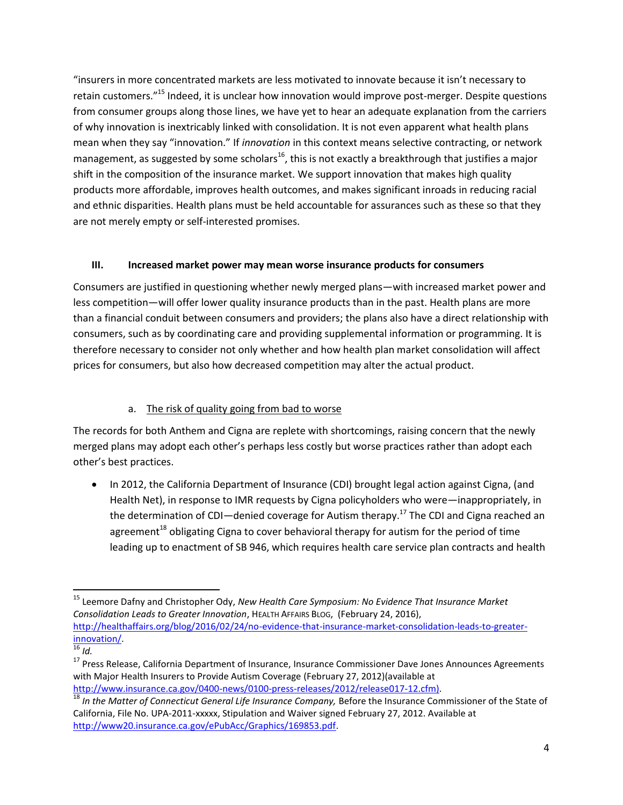"insurers in more concentrated markets are less motivated to innovate because it isn't necessary to retain customers."<sup>15</sup> Indeed, it is unclear how innovation would improve post-merger. Despite questions from consumer groups along those lines, we have yet to hear an adequate explanation from the carriers of why innovation is inextricably linked with consolidation. It is not even apparent what health plans mean when they say "innovation." If *innovation* in this context means selective contracting, or network management, as suggested by some scholars<sup>16</sup>, this is not exactly a breakthrough that justifies a major shift in the composition of the insurance market. We support innovation that makes high quality products more affordable, improves health outcomes, and makes significant inroads in reducing racial and ethnic disparities. Health plans must be held accountable for assurances such as these so that they are not merely empty or self-interested promises.

### **III. Increased market power may mean worse insurance products for consumers**

Consumers are justified in questioning whether newly merged plans—with increased market power and less competition—will offer lower quality insurance products than in the past. Health plans are more than a financial conduit between consumers and providers; the plans also have a direct relationship with consumers, such as by coordinating care and providing supplemental information or programming. It is therefore necessary to consider not only whether and how health plan market consolidation will affect prices for consumers, but also how decreased competition may alter the actual product.

## a. The risk of quality going from bad to worse

The records for both Anthem and Cigna are replete with shortcomings, raising concern that the newly merged plans may adopt each other's perhaps less costly but worse practices rather than adopt each other's best practices.

• In 2012, the California Department of Insurance (CDI) brought legal action against Cigna, (and Health Net), in response to IMR requests by Cigna policyholders who were—inappropriately, in the determination of CDI—denied coverage for Autism therapy.<sup>17</sup> The CDI and Cigna reached an agreement<sup>18</sup> obligating Cigna to cover behavioral therapy for autism for the period of time leading up to enactment of SB 946, which requires health care service plan contracts and health

 $\overline{a}$ 

<sup>15</sup> Leemore Dafny and Christopher Ody, *New Health Care Symposium: No Evidence That Insurance Market Consolidation Leads to Greater Innovation*, HEALTH AFFAIRS BLOG, (February 24, 2016), [http://healthaffairs.org/blog/2016/02/24/no-evidence-that-insurance-market-consolidation-leads-to-greater](http://healthaffairs.org/blog/2016/02/24/no-evidence-that-insurance-market-consolidation-leads-to-greater-innovation/)[innovation/.](http://healthaffairs.org/blog/2016/02/24/no-evidence-that-insurance-market-consolidation-leads-to-greater-innovation/) 

<sup>16</sup> *Id.*

<sup>&</sup>lt;sup>17</sup> Press Release, California Department of Insurance, Insurance Commissioner Dave Jones Announces Agreements with Major Health Insurers to Provide Autism Coverage (February 27, 2012)(available at [http://www.insurance.ca.gov/0400-news/0100-press-releases/2012/release017-12.cfm\)](http://www.insurance.ca.gov/0400-news/0100-press-releases/2012/release017-12.cfm).

<sup>&</sup>lt;sup>18</sup> In the Matter of Connecticut General Life Insurance Company, Before the Insurance Commissioner of the State of California, File No. UPA-2011-xxxxx, Stipulation and Waiver signed February 27, 2012. Available at [http://www20.insurance.ca.gov/ePubAcc/Graphics/169853.pdf.](http://www20.insurance.ca.gov/ePubAcc/Graphics/169853.pdf)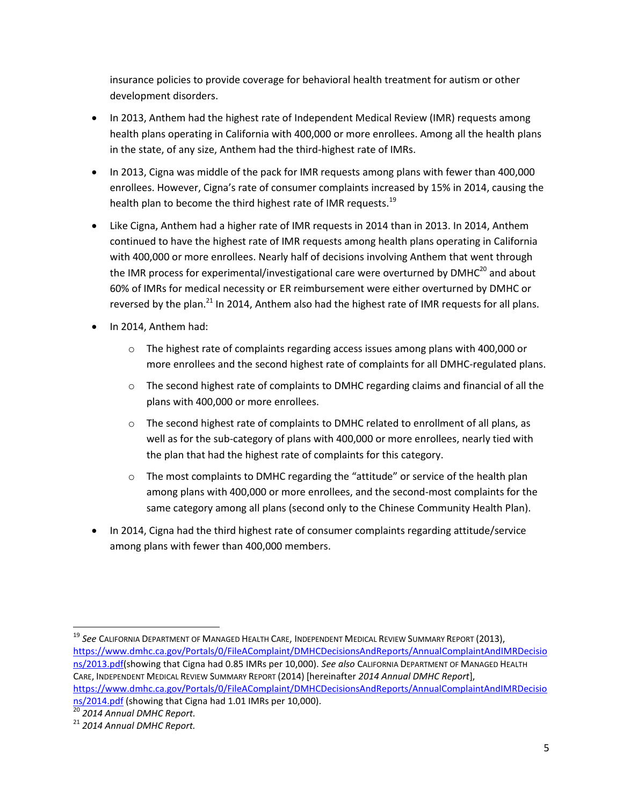insurance policies to provide coverage for behavioral health treatment for autism or other development disorders.

- In 2013, Anthem had the highest rate of Independent Medical Review (IMR) requests among health plans operating in California with 400,000 or more enrollees. Among all the health plans in the state, of any size, Anthem had the third-highest rate of IMRs.
- In 2013, Cigna was middle of the pack for IMR requests among plans with fewer than 400,000 enrollees. However, Cigna's rate of consumer complaints increased by 15% in 2014, causing the health plan to become the third highest rate of IMR requests.<sup>19</sup>
- Like Cigna, Anthem had a higher rate of IMR requests in 2014 than in 2013. In 2014, Anthem continued to have the highest rate of IMR requests among health plans operating in California with 400,000 or more enrollees. Nearly half of decisions involving Anthem that went through the IMR process for experimental/investigational care were overturned by  $DMHC^{20}$  and about 60% of IMRs for medical necessity or ER reimbursement were either overturned by DMHC or reversed by the plan.<sup>21</sup> In 2014, Anthem also had the highest rate of IMR requests for all plans.
- In 2014, Anthem had:
	- $\circ$  The highest rate of complaints regarding access issues among plans with 400,000 or more enrollees and the second highest rate of complaints for all DMHC-regulated plans.
	- o The second highest rate of complaints to DMHC regarding claims and financial of all the plans with 400,000 or more enrollees.
	- $\circ$  The second highest rate of complaints to DMHC related to enrollment of all plans, as well as for the sub-category of plans with 400,000 or more enrollees, nearly tied with the plan that had the highest rate of complaints for this category.
	- $\circ$  The most complaints to DMHC regarding the "attitude" or service of the health plan among plans with 400,000 or more enrollees, and the second-most complaints for the same category among all plans (second only to the Chinese Community Health Plan).
- In 2014, Cigna had the third highest rate of consumer complaints regarding attitude/service among plans with fewer than 400,000 members.

 $\overline{\phantom{a}}$ 

<sup>19</sup> *See* CALIFORNIA DEPARTMENT OF MANAGED HEALTH CARE, INDEPENDENT MEDICAL REVIEW SUMMARY REPORT (2013), [https://www.dmhc.ca.gov/Portals/0/FileAComplaint/DMHCDecisionsAndReports/AnnualComplaintAndIMRDecisio](https://www.dmhc.ca.gov/Portals/0/FileAComplaint/DMHCDecisionsAndReports/AnnualComplaintAndIMRDecisions/2013.pdf) [ns/2013.pdf\(](https://www.dmhc.ca.gov/Portals/0/FileAComplaint/DMHCDecisionsAndReports/AnnualComplaintAndIMRDecisions/2013.pdf)showing that Cigna had 0.85 IMRs per 10,000). *See also* CALIFORNIA DEPARTMENT OF MANAGED HEALTH CARE, INDEPENDENT MEDICAL REVIEW SUMMARY REPORT (2014) [hereinafter *2014 Annual DMHC Report*], [https://www.dmhc.ca.gov/Portals/0/FileAComplaint/DMHCDecisionsAndReports/AnnualComplaintAndIMRDecisio](https://www.dmhc.ca.gov/Portals/0/FileAComplaint/DMHCDecisionsAndReports/AnnualComplaintAndIMRDecisions/2014.pdf) [ns/2014.pdf](https://www.dmhc.ca.gov/Portals/0/FileAComplaint/DMHCDecisionsAndReports/AnnualComplaintAndIMRDecisions/2014.pdf) (showing that Cigna had 1.01 IMRs per 10,000).

<sup>20</sup> *2014 Annual DMHC Report.*

<sup>21</sup> *2014 Annual DMHC Report.*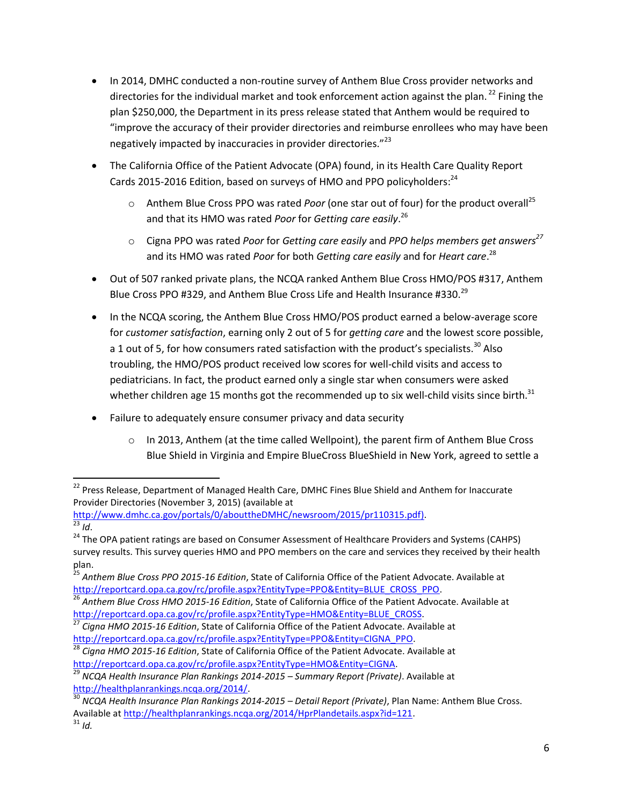- In 2014, DMHC conducted a non-routine survey of Anthem Blue Cross provider networks and directories for the individual market and took enforcement action against the plan.<sup>22</sup> Fining the plan \$250,000, the Department in its press release stated that Anthem would be required to "improve the accuracy of their provider directories and reimburse enrollees who may have been negatively impacted by inaccuracies in provider directories."<sup>23</sup>
- The California Office of the Patient Advocate (OPA) found, in its Health Care Quality Report Cards 2015-2016 Edition, based on surveys of HMO and PPO policyholders:<sup>24</sup>
	- o Anthem Blue Cross PPO was rated *Poor* (one star out of four) for the product overall<sup>25</sup> and that its HMO was rated *Poor* for *Getting care easily*. 26
	- o Cigna PPO was rated *Poor* for *Getting care easily* and *PPO helps members get answers<sup>27</sup>* and its HMO was rated *Poor* for both *Getting care easily* and for *Heart care*. 28
- Out of 507 ranked private plans, the NCQA ranked Anthem Blue Cross HMO/POS #317, Anthem Blue Cross PPO #329, and Anthem Blue Cross Life and Health Insurance #330.<sup>29</sup>
- In the NCQA scoring, the Anthem Blue Cross HMO/POS product earned a below-average score for *customer satisfaction*, earning only 2 out of 5 for *getting care* and the lowest score possible, a 1 out of 5, for how consumers rated satisfaction with the product's specialists.<sup>30</sup> Also troubling, the HMO/POS product received low scores for well-child visits and access to pediatricians. In fact, the product earned only a single star when consumers were asked whether children age 15 months got the recommended up to six well-child visits since birth.<sup>31</sup>
- Failure to adequately ensure consumer privacy and data security
	- $\circ$  In 2013, Anthem (at the time called Wellpoint), the parent firm of Anthem Blue Cross Blue Shield in Virginia and Empire BlueCross BlueShield in New York, agreed to settle a

[http://www.dmhc.ca.gov/portals/0/abouttheDMHC/newsroom/2015/pr110315.pdf\)](http://www.dmhc.ca.gov/portals/0/abouttheDMHC/newsroom/2015/pr110315.pdf).

l

<sup>&</sup>lt;sup>22</sup> Press Release, Department of Managed Health Care, DMHC Fines Blue Shield and Anthem for Inaccurate Provider Directories (November 3, 2015) (available at

<sup>23</sup> *Id*.

<sup>&</sup>lt;sup>24</sup> The OPA patient ratings are based on Consumer Assessment of Healthcare Providers and Systems (CAHPS) survey results. This survey queries HMO and PPO members on the care and services they received by their health plan.

<sup>25</sup> *Anthem Blue Cross PPO 2015-16 Edition*, State of California Office of the Patient Advocate. Available at [http://reportcard.opa.ca.gov/rc/profile.aspx?EntityType=PPO&Entity=BLUE\\_CROSS\\_PPO.](http://reportcard.opa.ca.gov/rc/profile.aspx?EntityType=PPO&Entity=BLUE_CROSS_PPO)

<sup>26</sup> *Anthem Blue Cross HMO 2015-16 Edition*, State of California Office of the Patient Advocate. Available at [http://reportcard.opa.ca.gov/rc/profile.aspx?EntityType=HMO&Entity=BLUE\\_CROSS.](http://reportcard.opa.ca.gov/rc/profile.aspx?EntityType=HMO&Entity=BLUE_CROSS)

<sup>27</sup> *Cigna HMO 2015-16 Edition*, State of California Office of the Patient Advocate. Available at [http://reportcard.opa.ca.gov/rc/profile.aspx?EntityType=PPO&Entity=CIGNA\\_PPO.](http://reportcard.opa.ca.gov/rc/profile.aspx?EntityType=PPO&Entity=CIGNA_PPO)

<sup>28</sup> *Cigna HMO 2015-16 Edition*, State of California Office of the Patient Advocate. Available at [http://reportcard.opa.ca.gov/rc/profile.aspx?EntityType=HMO&Entity=CIGNA.](http://reportcard.opa.ca.gov/rc/profile.aspx?EntityType=HMO&Entity=CIGNA)

<sup>29</sup> *NCQA Health Insurance Plan Rankings 2014-2015 – Summary Report (Private)*. Available at [http://healthplanrankings.ncqa.org/2014/.](http://healthplanrankings.ncqa.org/2014/)

<sup>30</sup> *NCQA Health Insurance Plan Rankings 2014-2015 – Detail Report (Private)*, Plan Name: Anthem Blue Cross. Available a[t http://healthplanrankings.ncqa.org/2014/HprPlandetails.aspx?id=121.](http://healthplanrankings.ncqa.org/2014/HprPlandetails.aspx?id=121) <sup>31</sup> *Id.*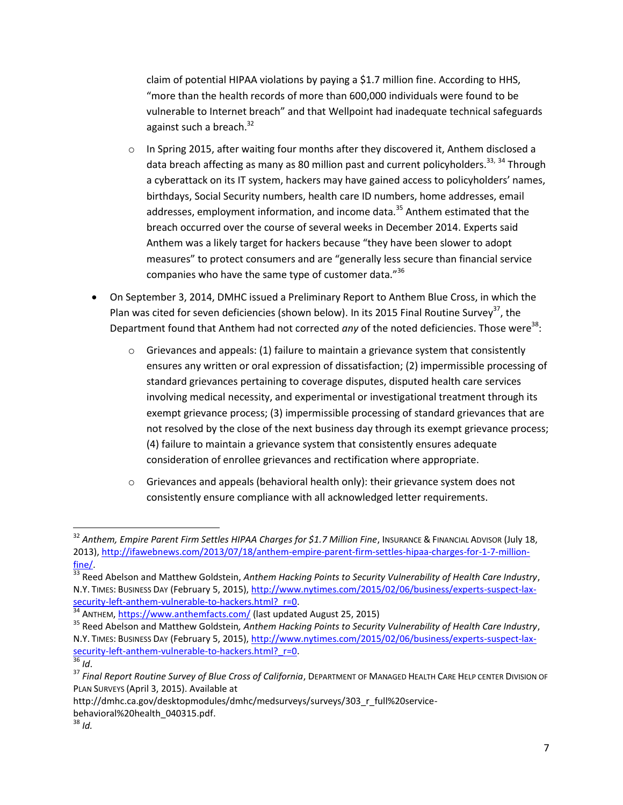claim of potential HIPAA violations by paying a \$1.7 million fine. According to HHS, "more than the health records of more than 600,000 individuals were found to be vulnerable to Internet breach" and that Wellpoint had inadequate technical safeguards against such a breach.<sup>32</sup>

- $\circ$  In Spring 2015, after waiting four months after they discovered it, Anthem disclosed a data breach affecting as many as 80 million past and current policyholders.<sup>33, 34</sup> Through a cyberattack on its IT system, hackers may have gained access to policyholders' names, birthdays, Social Security numbers, health care ID numbers, home addresses, email addresses, employment information, and income data.<sup>35</sup> Anthem estimated that the breach occurred over the course of several weeks in December 2014. Experts said Anthem was a likely target for hackers because "they have been slower to adopt measures" to protect consumers and are "generally less secure than financial service companies who have the same type of customer data."<sup>36</sup>
- On September 3, 2014, DMHC issued a Preliminary Report to Anthem Blue Cross, in which the Plan was cited for seven deficiencies (shown below). In its 2015 Final Routine Survey<sup>37</sup>, the Department found that Anthem had not corrected *any* of the noted deficiencies. Those were<sup>38</sup>:
	- $\circ$  Grievances and appeals: (1) failure to maintain a grievance system that consistently ensures any written or oral expression of dissatisfaction; (2) impermissible processing of standard grievances pertaining to coverage disputes, disputed health care services involving medical necessity, and experimental or investigational treatment through its exempt grievance process; (3) impermissible processing of standard grievances that are not resolved by the close of the next business day through its exempt grievance process; (4) failure to maintain a grievance system that consistently ensures adequate consideration of enrollee grievances and rectification where appropriate.
	- $\circ$  Grievances and appeals (behavioral health only): their grievance system does not consistently ensure compliance with all acknowledged letter requirements.

l

<sup>&</sup>lt;sup>32</sup> Anthem, Empire Parent Firm Settles HIPAA Charges for \$1.7 Million Fine, Insurance & Financıal Advisor (July 18, 2013), [http://ifawebnews.com/2013/07/18/anthem-empire-parent-firm-settles-hipaa-charges-for-1-7-million](http://ifawebnews.com/2013/07/18/anthem-empire-parent-firm-settles-hipaa-charges-for-1-7-million-fine/)[fine/.](http://ifawebnews.com/2013/07/18/anthem-empire-parent-firm-settles-hipaa-charges-for-1-7-million-fine/) 

<sup>&</sup>lt;sup>33</sup> Reed Abelson and Matthew Goldstein, Anthem Hacking Points to Security Vulnerability of Health Care Industry, N.Y. TIMES: BUSINESS DAY (February 5, 2015), [http://www.nytimes.com/2015/02/06/business/experts-suspect-lax](http://www.nytimes.com/2015/02/06/business/experts-suspect-lax-security-left-anthem-vulnerable-to-hackers.html?_r=0)security-left-anthem-vulnerable-to-hackers.html? r=0.

ANTHEM, <https://www.anthemfacts.com/> (last updated August 25, 2015)

<sup>35</sup> Reed Abelson and Matthew Goldstein*, Anthem Hacking Points to Security Vulnerability of Health Care Industry*, N.Y. TIMES: BUSINESS DAY (February 5, 2015), [http://www.nytimes.com/2015/02/06/business/experts-suspect-lax](http://www.nytimes.com/2015/02/06/business/experts-suspect-lax-security-left-anthem-vulnerable-to-hackers.html?_r=0)[security-left-anthem-vulnerable-to-hackers.html?\\_r=0.](http://www.nytimes.com/2015/02/06/business/experts-suspect-lax-security-left-anthem-vulnerable-to-hackers.html?_r=0) <sup>36</sup> *Id*.

<sup>&</sup>lt;sup>37</sup> Final Report Routine Survey of Blue Cross of California, DEPARTMENT OF MANAGED HEALTH CARE HELP CENTER DIVISION OF PLAN SURVEYS (April 3, 2015). Available at

http://dmhc.ca.gov/desktopmodules/dmhc/medsurveys/surveys/303\_r\_full%20servicebehavioral%20health\_040315.pdf.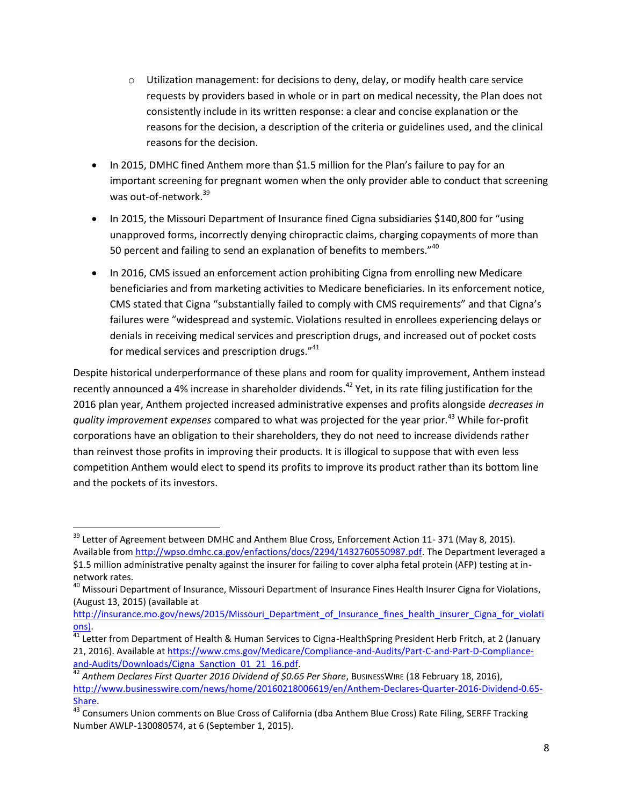- $\circ$  Utilization management: for decisions to deny, delay, or modify health care service requests by providers based in whole or in part on medical necessity, the Plan does not consistently include in its written response: a clear and concise explanation or the reasons for the decision, a description of the criteria or guidelines used, and the clinical reasons for the decision.
- In 2015, DMHC fined Anthem more than \$1.5 million for the Plan's failure to pay for an important screening for pregnant women when the only provider able to conduct that screening was out-of-network.<sup>39</sup>
- In 2015, the Missouri Department of Insurance fined Cigna subsidiaries \$140,800 for "using unapproved forms, incorrectly denying chiropractic claims, charging copayments of more than 50 percent and failing to send an explanation of benefits to members."<sup>40</sup>
- In 2016, CMS issued an enforcement action prohibiting Cigna from enrolling new Medicare beneficiaries and from marketing activities to Medicare beneficiaries. In its enforcement notice, CMS stated that Cigna "substantially failed to comply with CMS requirements" and that Cigna's failures were "widespread and systemic. Violations resulted in enrollees experiencing delays or denials in receiving medical services and prescription drugs, and increased out of pocket costs for medical services and prescription drugs."<sup>41</sup>

Despite historical underperformance of these plans and room for quality improvement, Anthem instead recently announced a 4% increase in shareholder dividends.<sup>42</sup> Yet, in its rate filing justification for the 2016 plan year, Anthem projected increased administrative expenses and profits alongside *decreases in quality improvement expenses* compared to what was projected for the year prior.<sup>43</sup> While for-profit corporations have an obligation to their shareholders, they do not need to increase dividends rather than reinvest those profits in improving their products. It is illogical to suppose that with even less competition Anthem would elect to spend its profits to improve its product rather than its bottom line and the pockets of its investors.

l

<sup>&</sup>lt;sup>39</sup> Letter of Agreement between DMHC and Anthem Blue Cross, Enforcement Action 11- 371 (May 8, 2015). Available from [http://wpso.dmhc.ca.gov/enfactions/docs/2294/1432760550987.pdf.](http://wpso.dmhc.ca.gov/enfactions/docs/2294/1432760550987.pdf) The Department leveraged a \$1.5 million administrative penalty against the insurer for failing to cover alpha fetal protein (AFP) testing at innetwork rates.

<sup>&</sup>lt;sup>40</sup> Missouri Department of Insurance, Missouri Department of Insurance Fines Health Insurer Cigna for Violations, (August 13, 2015) (available at

[http://insurance.mo.gov/news/2015/Missouri\\_Department\\_of\\_Insurance\\_fines\\_health\\_insurer\\_Cigna\\_for\\_violati](http://insurance.mo.gov/news/2015/Missouri_Department_of_Insurance_fines_health_insurer_Cigna_for_violations) [ons\)](http://insurance.mo.gov/news/2015/Missouri_Department_of_Insurance_fines_health_insurer_Cigna_for_violations).

 $41$  Letter from Department of Health & Human Services to Cigna-HealthSpring President Herb Fritch, at 2 (January 21, 2016). Available a[t https://www.cms.gov/Medicare/Compliance-and-Audits/Part-C-and-Part-D-Compliance](https://www.cms.gov/Medicare/Compliance-and-Audits/Part-C-and-Part-D-Compliance-and-Audits/Downloads/Cigna_Sanction_01_21_16.pdf)[and-Audits/Downloads/Cigna\\_Sanction\\_01\\_21\\_16.pdf.](https://www.cms.gov/Medicare/Compliance-and-Audits/Part-C-and-Part-D-Compliance-and-Audits/Downloads/Cigna_Sanction_01_21_16.pdf)

<sup>42</sup> *Anthem Declares First Quarter 2016 Dividend of \$0.65 Per Share*, BUSINESSWIRE (18 February 18, 2016), [http://www.businesswire.com/news/home/20160218006619/en/Anthem-Declares-Quarter-2016-Dividend-0.65-](http://www.businesswire.com/news/home/20160218006619/en/Anthem-Declares-Quarter-2016-Dividend-0.65-Share) [Share.](http://www.businesswire.com/news/home/20160218006619/en/Anthem-Declares-Quarter-2016-Dividend-0.65-Share)

<sup>&</sup>lt;sup>43</sup> Consumers Union comments on Blue Cross of California (dba Anthem Blue Cross) Rate Filing, SERFF Tracking Number AWLP-130080574, at 6 (September 1, 2015).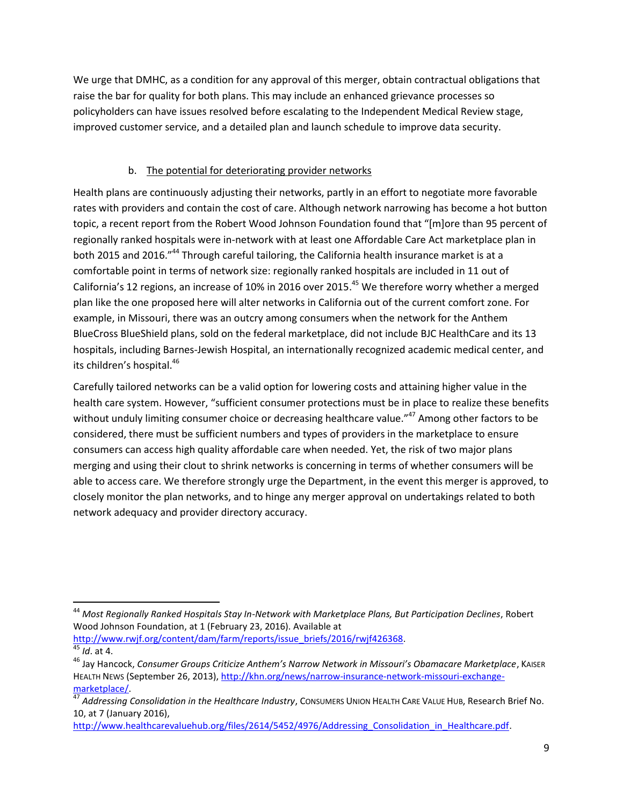We urge that DMHC, as a condition for any approval of this merger, obtain contractual obligations that raise the bar for quality for both plans. This may include an enhanced grievance processes so policyholders can have issues resolved before escalating to the Independent Medical Review stage, improved customer service, and a detailed plan and launch schedule to improve data security.

### b. The potential for deteriorating provider networks

Health plans are continuously adjusting their networks, partly in an effort to negotiate more favorable rates with providers and contain the cost of care. Although network narrowing has become a hot button topic, a recent report from the Robert Wood Johnson Foundation found that "[m]ore than 95 percent of regionally ranked hospitals were in-network with at least one Affordable Care Act marketplace plan in both 2015 and 2016."<sup>44</sup> Through careful tailoring, the California health insurance market is at a comfortable point in terms of network size: regionally ranked hospitals are included in 11 out of California's 12 regions, an increase of 10% in 2016 over 2015.<sup>45</sup> We therefore worry whether a merged plan like the one proposed here will alter networks in California out of the current comfort zone. For example, in Missouri, there was an outcry among consumers when the network for the Anthem BlueCross BlueShield plans, sold on the federal marketplace, did not include BJC HealthCare and its 13 hospitals, including Barnes-Jewish Hospital, an internationally recognized academic medical center, and its children's hospital.<sup>46</sup>

Carefully tailored networks can be a valid option for lowering costs and attaining higher value in the health care system. However, "sufficient consumer protections must be in place to realize these benefits without unduly limiting consumer choice or decreasing healthcare value."<sup>47</sup> Among other factors to be considered, there must be sufficient numbers and types of providers in the marketplace to ensure consumers can access high quality affordable care when needed. Yet, the risk of two major plans merging and using their clout to shrink networks is concerning in terms of whether consumers will be able to access care. We therefore strongly urge the Department, in the event this merger is approved, to closely monitor the plan networks, and to hinge any merger approval on undertakings related to both network adequacy and provider directory accuracy.

[http://www.rwjf.org/content/dam/farm/reports/issue\\_briefs/2016/rwjf426368.](http://www.rwjf.org/content/dam/farm/reports/issue_briefs/2016/rwjf426368) <sup>45</sup> *Id*. at 4.

 $\overline{\phantom{a}}$ <sup>44</sup> *Most Regionally Ranked Hospitals Stay In-Network with Marketplace Plans, But Participation Declines*, Robert Wood Johnson Foundation, at 1 (February 23, 2016). Available at

<sup>46</sup> Jay Hancock, *Consumer Groups Criticize Anthem's Narrow Network in Missouri's Obamacare Marketplace*, KAISER HEALTH NEWS (September 26, 2013)[, http://khn.org/news/narrow-insurance-network-missouri-exchange](http://khn.org/news/narrow-insurance-network-missouri-exchange-marketplace/)[marketplace/.](http://khn.org/news/narrow-insurance-network-missouri-exchange-marketplace/)

<sup>47</sup> *Addressing Consolidation in the Healthcare Industry*, CONSUMERS UNION HEALTH CARE VALUE HUB, Research Brief No. 10, at 7 (January 2016),

http://www.healthcarevaluehub.org/files/2614/5452/4976/Addressing Consolidation in Healthcare.pdf.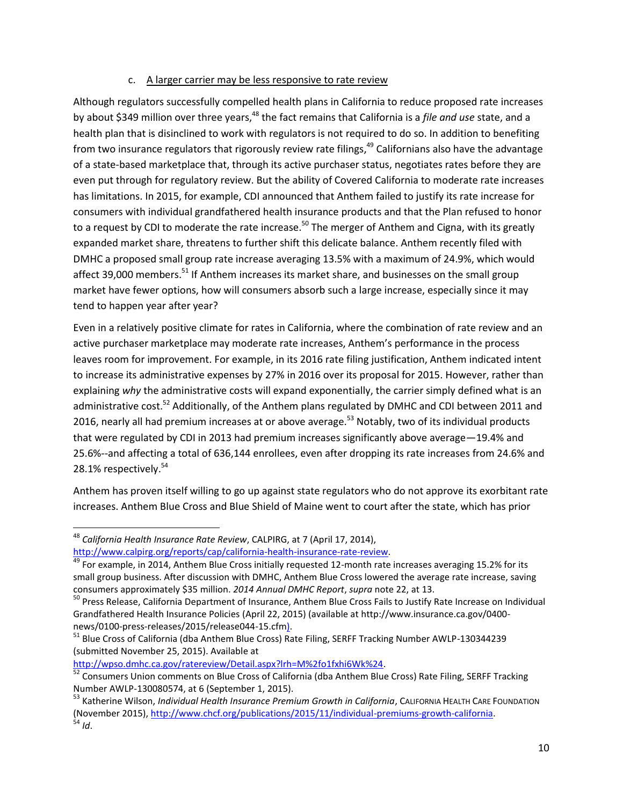### c. A larger carrier may be less responsive to rate review

Although regulators successfully compelled health plans in California to reduce proposed rate increases by about \$349 million over three years,<sup>48</sup> the fact remains that California is a *file and use* state, and a health plan that is disinclined to work with regulators is not required to do so. In addition to benefiting from two insurance regulators that rigorously review rate filings,<sup>49</sup> Californians also have the advantage of a state-based marketplace that, through its active purchaser status, negotiates rates before they are even put through for regulatory review. But the ability of Covered California to moderate rate increases has limitations. In 2015, for example, CDI announced that Anthem failed to justify its rate increase for consumers with individual grandfathered health insurance products and that the Plan refused to honor to a request by CDI to moderate the rate increase.<sup>50</sup> The merger of Anthem and Cigna, with its greatly expanded market share, threatens to further shift this delicate balance. Anthem recently filed with DMHC a proposed small group rate increase averaging 13.5% with a maximum of 24.9%, which would affect 39,000 members.<sup>51</sup> If Anthem increases its market share, and businesses on the small group market have fewer options, how will consumers absorb such a large increase, especially since it may tend to happen year after year?

Even in a relatively positive climate for rates in California, where the combination of rate review and an active purchaser marketplace may moderate rate increases, Anthem's performance in the process leaves room for improvement. For example, in its 2016 rate filing justification, Anthem indicated intent to increase its administrative expenses by 27% in 2016 over its proposal for 2015. However, rather than explaining *why* the administrative costs will expand exponentially, the carrier simply defined what is an administrative cost.<sup>52</sup> Additionally, of the Anthem plans regulated by DMHC and CDI between 2011 and 2016, nearly all had premium increases at or above average.<sup>53</sup> Notably, two of its individual products that were regulated by CDI in 2013 had premium increases significantly above average—19.4% and 25.6%--and affecting a total of 636,144 enrollees, even after dropping its rate increases from 24.6% and 28.1% respectively. 54

Anthem has proven itself willing to go up against state regulators who do not approve its exorbitant rate increases. Anthem Blue Cross and Blue Shield of Maine went to court after the state, which has prior

l

[http://wpso.dmhc.ca.gov/ratereview/Detail.aspx?lrh=M%2fo1fxhi6Wk%24.](http://wpso.dmhc.ca.gov/ratereview/Detail.aspx?lrh=M%2fo1fxhi6Wk%24)

<sup>48</sup> *California Health Insurance Rate Review*, CALPIRG, at 7 (April 17, 2014),

[http://www.calpirg.org/reports/cap/california-health-insurance-rate-review.](http://www.calpirg.org/reports/cap/california-health-insurance-rate-review)

Hopp, **Example, in 2014, Anthem Blue Cross initially requested 12-month rate increases averaging 15.2% for its** small group business. After discussion with DMHC, Anthem Blue Cross lowered the average rate increase, saving consumers approximately \$35 million. *2014 Annual DMHC Report*, *supra* note 22, at 13.

<sup>&</sup>lt;sup>50</sup> Press Release, California Department of Insurance, Anthem Blue Cross Fails to Justify Rate Increase on Individual Grandfathered Health Insurance Policies (April 22, 2015) (available at http://www.insurance.ca.gov/0400 news/0100-press-releases/2015/release044-15.cfm).

<sup>51</sup> Blue Cross of California (dba Anthem Blue Cross) Rate Filing, SERFF Tracking Number AWLP-130344239 (submitted November 25, 2015). Available at

<sup>&</sup>lt;sup>52</sup> Consumers Union comments on Blue Cross of California (dba Anthem Blue Cross) Rate Filing, SERFF Tracking Number AWLP-130080574, at 6 (September 1, 2015).

<sup>53</sup> Katherine Wilson, *Individual Health Insurance Premium Growth in California*, CALIFORNIA HEALTH CARE FOUNDATION (November 2015), [http://www.chcf.org/publications/2015/11/individual-premiums-growth-california.](http://www.chcf.org/publications/2015/11/individual-premiums-growth-california)  $3^{34}$  *Id.*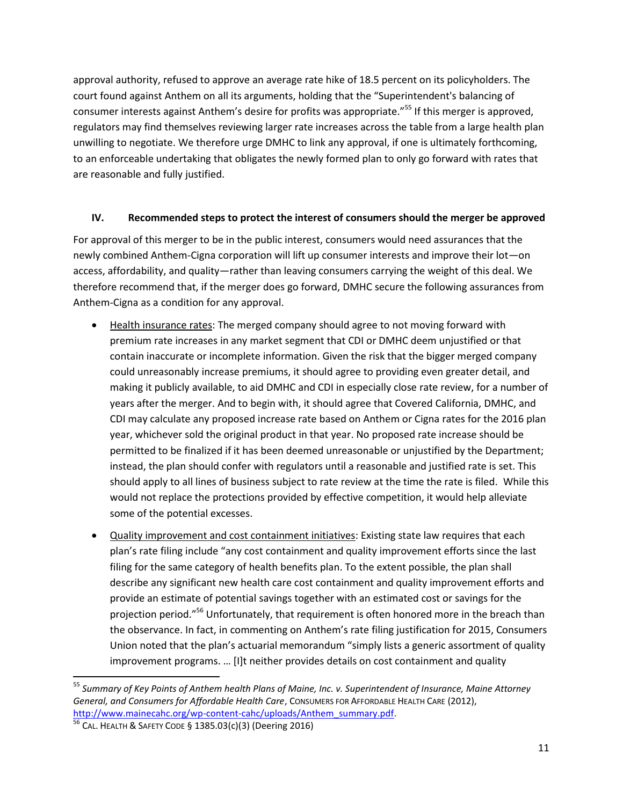approval authority, refused to approve an average rate hike of 18.5 percent on its policyholders. The court found against Anthem on all its arguments, holding that the "Superintendent's balancing of consumer interests against Anthem's desire for profits was appropriate."<sup>55</sup> If this merger is approved, regulators may find themselves reviewing larger rate increases across the table from a large health plan unwilling to negotiate. We therefore urge DMHC to link any approval, if one is ultimately forthcoming, to an enforceable undertaking that obligates the newly formed plan to only go forward with rates that are reasonable and fully justified.

### **IV. Recommended steps to protect the interest of consumers should the merger be approved**

For approval of this merger to be in the public interest, consumers would need assurances that the newly combined Anthem-Cigna corporation will lift up consumer interests and improve their lot—on access, affordability, and quality—rather than leaving consumers carrying the weight of this deal. We therefore recommend that, if the merger does go forward, DMHC secure the following assurances from Anthem-Cigna as a condition for any approval.

- Health insurance rates: The merged company should agree to not moving forward with premium rate increases in any market segment that CDI or DMHC deem unjustified or that contain inaccurate or incomplete information. Given the risk that the bigger merged company could unreasonably increase premiums, it should agree to providing even greater detail, and making it publicly available, to aid DMHC and CDI in especially close rate review, for a number of years after the merger. And to begin with, it should agree that Covered California, DMHC, and CDI may calculate any proposed increase rate based on Anthem or Cigna rates for the 2016 plan year, whichever sold the original product in that year. No proposed rate increase should be permitted to be finalized if it has been deemed unreasonable or unjustified by the Department; instead, the plan should confer with regulators until a reasonable and justified rate is set. This should apply to all lines of business subject to rate review at the time the rate is filed. While this would not replace the protections provided by effective competition, it would help alleviate some of the potential excesses.
- Quality improvement and cost containment initiatives: Existing state law requires that each plan's rate filing include "any cost containment and quality improvement efforts since the last filing for the same category of health benefits plan. To the extent possible, the plan shall describe any significant new health care cost containment and quality improvement efforts and provide an estimate of potential savings together with an estimated cost or savings for the projection period."<sup>56</sup> Unfortunately, that requirement is often honored more in the breach than the observance. In fact, in commenting on Anthem's rate filing justification for 2015, Consumers Union noted that the plan's actuarial memorandum "simply lists a generic assortment of quality improvement programs. … [I]t neither provides details on cost containment and quality

 $\overline{a}$ 

<sup>55</sup> *Summary of Key Points of Anthem health Plans of Maine, Inc. v. Superintendent of Insurance, Maine Attorney General, and Consumers for Affordable Health Care*, CONSUMERS FOR AFFORDABLE HEALTH CARE (2012), [http://www.mainecahc.org/wp-content-cahc/uploads/Anthem\\_summary.pdf.](http://www.mainecahc.org/wp-content-cahc/uploads/Anthem_summary.pdf) 

 $56$  CAL. HEALTH & SAFETY CODE § 1385.03(c)(3) (Deering 2016)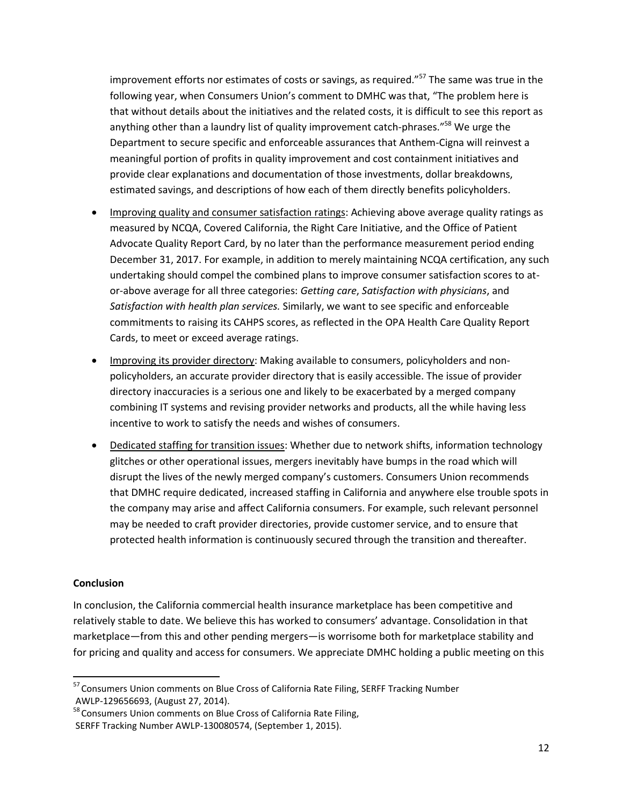improvement efforts nor estimates of costs or savings, as required."<sup>57</sup> The same was true in the following year, when Consumers Union's comment to DMHC was that, "The problem here is that without details about the initiatives and the related costs, it is difficult to see this report as anything other than a laundry list of quality improvement catch-phrases."<sup>58</sup> We urge the Department to secure specific and enforceable assurances that Anthem-Cigna will reinvest a meaningful portion of profits in quality improvement and cost containment initiatives and provide clear explanations and documentation of those investments, dollar breakdowns, estimated savings, and descriptions of how each of them directly benefits policyholders.

- Improving quality and consumer satisfaction ratings: Achieving above average quality ratings as measured by NCQA, Covered California, the Right Care Initiative, and the Office of Patient Advocate Quality Report Card, by no later than the performance measurement period ending December 31, 2017. For example, in addition to merely maintaining NCQA certification, any such undertaking should compel the combined plans to improve consumer satisfaction scores to ator-above average for all three categories: *Getting care*, *Satisfaction with physicians*, and *Satisfaction with health plan services.* Similarly, we want to see specific and enforceable commitments to raising its CAHPS scores, as reflected in the OPA Health Care Quality Report Cards, to meet or exceed average ratings.
- Improving its provider directory: Making available to consumers, policyholders and nonpolicyholders, an accurate provider directory that is easily accessible. The issue of provider directory inaccuracies is a serious one and likely to be exacerbated by a merged company combining IT systems and revising provider networks and products, all the while having less incentive to work to satisfy the needs and wishes of consumers.
- Dedicated staffing for transition issues: Whether due to network shifts, information technology glitches or other operational issues, mergers inevitably have bumps in the road which will disrupt the lives of the newly merged company's customers. Consumers Union recommends that DMHC require dedicated, increased staffing in California and anywhere else trouble spots in the company may arise and affect California consumers. For example, such relevant personnel may be needed to craft provider directories, provide customer service, and to ensure that protected health information is continuously secured through the transition and thereafter.

#### **Conclusion**

 $\overline{a}$ 

In conclusion, the California commercial health insurance marketplace has been competitive and relatively stable to date. We believe this has worked to consumers' advantage. Consolidation in that marketplace—from this and other pending mergers—is worrisome both for marketplace stability and for pricing and quality and access for consumers. We appreciate DMHC holding a public meeting on this

<sup>&</sup>lt;sup>57</sup> Consumers Union comments on Blue Cross of California Rate Filing, SERFF Tracking Number AWLP-129656693, (August 27, 2014).

<sup>&</sup>lt;sup>58</sup> Consumers Union comments on Blue Cross of California Rate Filing, SERFF Tracking Number AWLP-130080574, (September 1, 2015).